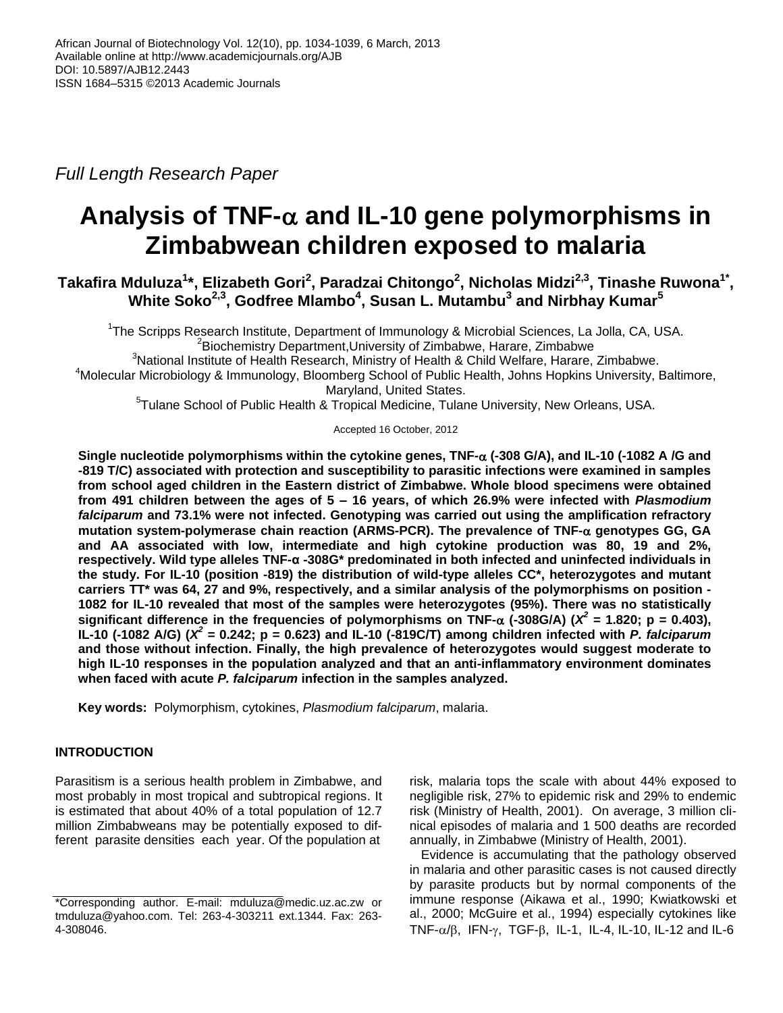*Full Length Research Paper*

# Analysis of TNF- $\alpha$  and IL-10 gene polymorphisms in **Zimbabwean children exposed to malaria**

**Takafira Mduluza<sup>1</sup> \*, Elizabeth Gori<sup>2</sup> , Paradzai Chitongo<sup>2</sup> , Nicholas Midzi2,3, Tinashe Ruwona1\* , White Soko2,3 , Godfree Mlambo<sup>4</sup> , Susan L. Mutambu<sup>3</sup> and Nirbhay Kumar<sup>5</sup>**

<sup>1</sup>The Scripps Research Institute, Department of Immunology & Microbial Sciences, La Jolla, CA, USA. <sup>2</sup>Biochemistry Department, University of Zimbabwe, Harare, Zimbabwe

 $3$ National Institute of Health Research, Ministry of Health & Child Welfare, Harare, Zimbabwe.

<sup>4</sup>Molecular Microbiology & Immunology, Bloomberg School of Public Health, Johns Hopkins University, Baltimore, Maryland, United States.

<sup>5</sup>Tulane School of Public Health & Tropical Medicine, Tulane University, New Orleans, USA.

Accepted 16 October, 2012

**Single nucleotide polymorphisms within the cytokine genes, TNF- (-308 G/A), and IL-10 (-1082 A /G and -819 T/C) associated with protection and susceptibility to parasitic infections were examined in samples from school aged children in the Eastern district of Zimbabwe. Whole blood specimens were obtained from 491 children between the ages of 5 – 16 years, of which 26.9% were infected with** *Plasmodium falciparum* **and 73.1% were not infected. Genotyping was carried out using the amplification refractory mutation system-polymerase chain reaction (ARMS-PCR). The prevalence of TNF- genotypes GG, GA and AA associated with low, intermediate and high cytokine production was 80, 19 and 2%, respectively. Wild type alleles TNF-α -308G\* predominated in both infected and uninfected individuals in the study. For IL-10 (position -819) the distribution of wild-type alleles CC\*, heterozygotes and mutant carriers TT\* was 64, 27 and 9%, respectively, and a similar analysis of the polymorphisms on position - 1082 for IL-10 revealed that most of the samples were heterozygotes (95%). There was no statistically** significant difference in the frequencies of polymorphisms on TNF- $\alpha$  (-308G/A) ( $X^2$  = 1.820; p = 0.403), **IL-10 (-1082 A/G) (***X 2 =* **0.242; p = 0.623) and IL-10 (-819C/T) among children infected with** *P. falciparum* **and those without infection. Finally, the high prevalence of heterozygotes would suggest moderate to high IL-10 responses in the population analyzed and that an anti-inflammatory environment dominates when faced with acute** *P. falciparum* **infection in the samples analyzed.** 

**Key words:** Polymorphism, cytokines, *Plasmodium falciparum*, malaria.

# **INTRODUCTION**

Parasitism is a serious health problem in Zimbabwe, and most probably in most tropical and subtropical regions. It is estimated that about 40% of a total population of 12.7 million Zimbabweans may be potentially exposed to different parasite densities each year. Of the population at

risk, malaria tops the scale with about 44% exposed to negligible risk, 27% to epidemic risk and 29% to endemic risk (Ministry of Health, 2001). On average, 3 million clinical episodes of malaria and 1 500 deaths are recorded annually, in Zimbabwe (Ministry of Health, 2001).

Evidence is accumulating that the pathology observed in malaria and other parasitic cases is not caused directly by parasite products but by normal components of the immune response (Aikawa et al., 1990; Kwiatkowski et al., 2000; McGuire et al., 1994) especially cytokines like TNF- $\alpha/\beta$ , IFN- $\gamma$ , TGF- $\beta$ , IL-1, IL-4, IL-10, IL-12 and IL-6

<sup>\*</sup>Corresponding author. E-mail: mduluza@medic.uz.ac.zw or [tmduluza@yahoo.com.](mailto:tmduluza@yahoo.com) Tel: 263-4-303211 ext.1344. Fax: 263- 4-308046.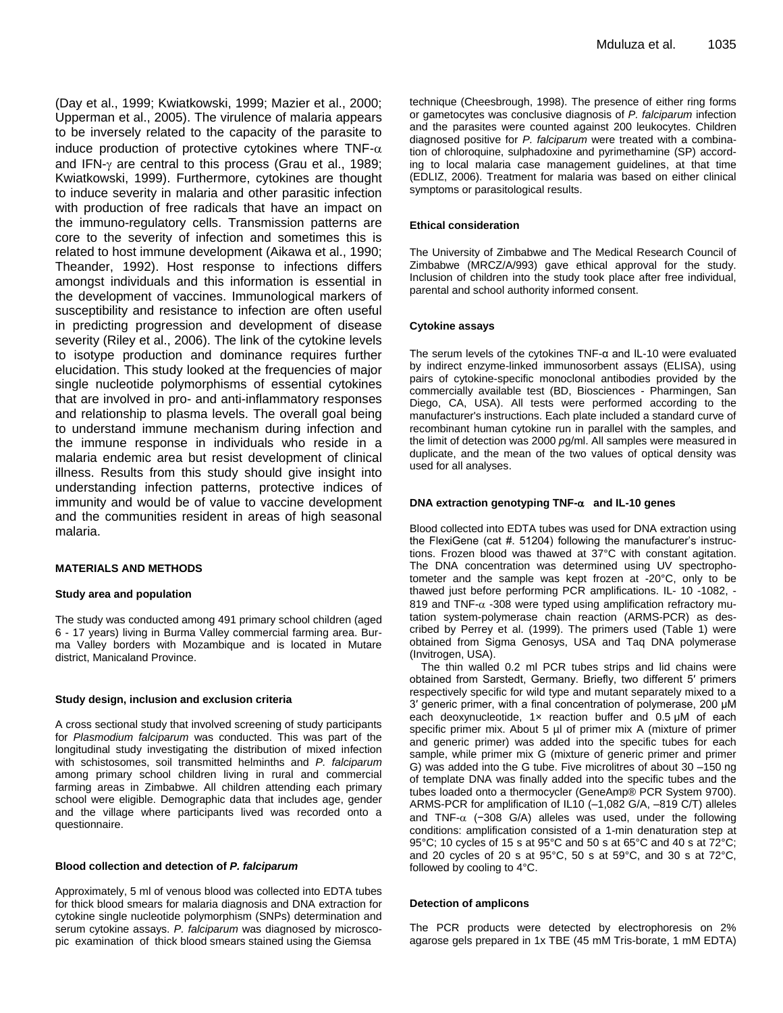(Day et al., 1999; Kwiatkowski, 1999; Mazier et al., 2000; Upperman et al., 2005). The virulence of malaria appears to be inversely related to the capacity of the parasite to induce production of protective cytokines where TNF- $\alpha$ and IFN- $\gamma$  are central to this process (Grau et al., 1989; Kwiatkowski, 1999). Furthermore, cytokines are thought to induce severity in malaria and other parasitic infection with production of free radicals that have an impact on the immuno-regulatory cells. Transmission patterns are core to the severity of infection and sometimes this is related to host immune development (Aikawa et al., 1990; Theander, 1992). Host response to infections differs amongst individuals and this information is essential in the development of vaccines. Immunological markers of susceptibility and resistance to infection are often useful in predicting progression and development of disease severity (Riley et al., 2006). The link of the cytokine levels to isotype production and dominance requires further elucidation. This study looked at the frequencies of major single nucleotide polymorphisms of essential cytokines that are involved in pro- and anti-inflammatory responses and relationship to plasma levels. The overall goal being to understand immune mechanism during infection and the immune response in individuals who reside in a malaria endemic area but resist development of clinical illness. Results from this study should give insight into understanding infection patterns, protective indices of immunity and would be of value to vaccine development and the communities resident in areas of high seasonal malaria.

### **MATERIALS AND METHODS**

### **Study area and population**

The study was conducted among 491 primary school children (aged 6 - 17 years) living in Burma Valley commercial farming area. Burma Valley borders with Mozambique and is located in Mutare district, Manicaland Province.

### **Study design, inclusion and exclusion criteria**

A cross sectional study that involved screening of study participants for *Plasmodium falciparum* was conducted. This was part of the longitudinal study investigating the distribution of mixed infection with schistosomes, soil transmitted helminths and *P. falciparum* among primary school children living in rural and commercial farming areas in Zimbabwe. All children attending each primary school were eligible. Demographic data that includes age, gender and the village where participants lived was recorded onto a questionnaire.

#### **Blood collection and detection of** *P. falciparum*

Approximately, 5 ml of venous blood was collected into EDTA tubes for thick blood smears for malaria diagnosis and DNA extraction for cytokine single nucleotide polymorphism (SNPs) determination and serum cytokine assays. *P. falciparum* was diagnosed by microscopic examination of thick blood smears stained using the Giemsa

technique (Cheesbrough, 1998). The presence of either ring forms or gametocytes was conclusive diagnosis of *P. falciparum* infection and the parasites were counted against 200 leukocytes. Children diagnosed positive for *P. falciparum* were treated with a combination of chloroquine, sulphadoxine and pyrimethamine (SP) according to local malaria case management guidelines, at that time (EDLIZ, 2006). Treatment for malaria was based on either clinical symptoms or parasitological results.

#### **Ethical consideration**

The University of Zimbabwe and The Medical Research Council of Zimbabwe (MRCZ/A/993) gave ethical approval for the study. Inclusion of children into the study took place after free individual, parental and school authority informed consent.

### **Cytokine assays**

The serum levels of the cytokines TNF-α and IL-10 were evaluated by indirect enzyme-linked immunosorbent assays (ELISA), using pairs of cytokine-specific monoclonal antibodies provided by the commercially available test (BD, Biosciences - Pharmingen, San Diego, CA, USA). All tests were performed according to the manufacturer's instructions. Each plate included a standard curve of recombinant human cytokine run in parallel with the samples, and the limit of detection was 2000 *p*g/ml. All samples were measured in duplicate, and the mean of the two values of optical density was used for all analyses.

#### **DNA extraction genotyping TNF- and IL-10 genes**

Blood collected into EDTA tubes was used for DNA extraction using the FlexiGene (cat #. 51204) following the manufacturer's instructions. Frozen blood was thawed at 37°C with constant agitation. The DNA concentration was determined using UV spectrophotometer and the sample was kept frozen at -20°C, only to be thawed just before performing PCR amplifications. IL- 10 -1082, - 819 and TNF- $\alpha$  -308 were typed using amplification refractory mutation system-polymerase chain reaction (ARMS-PCR) as described by Perrey et al. (1999). The primers used (Table 1) were obtained from Sigma Genosys, USA and Taq DNA polymerase (Invitrogen, USA).

The thin walled 0.2 ml PCR tubes strips and lid chains were obtained from Sarstedt, Germany. Briefly, two different 5′ primers respectively specific for wild type and mutant separately mixed to a 3′ generic primer, with a final concentration of polymerase, 200 μM each deoxynucleotide, 1x reaction buffer and 0.5 μM of each specific primer mix. About 5 µl of primer mix A (mixture of primer and generic primer) was added into the specific tubes for each sample, while primer mix G (mixture of generic primer and primer G) was added into the G tube. Five microlitres of about 30 –150 ng of template DNA was finally added into the specific tubes and the tubes loaded onto a thermocycler (GeneAmp® PCR System 9700). ARMS-PCR for amplification of IL10 (–1,082 G/A, –819 C/T) alleles and TNF- $\alpha$  (-308 G/A) alleles was used, under the following conditions: amplification consisted of a 1-min denaturation step at 95°C; 10 cycles of 15 s at 95°C and 50 s at 65°C and 40 s at 72°C; and 20 cycles of 20 s at 95°C, 50 s at 59°C, and 30 s at 72°C, followed by cooling to 4°C.

### **Detection of amplicons**

The PCR products were detected by electrophoresis on 2% agarose gels prepared in 1x TBE (45 mM Tris-borate, 1 mM EDTA)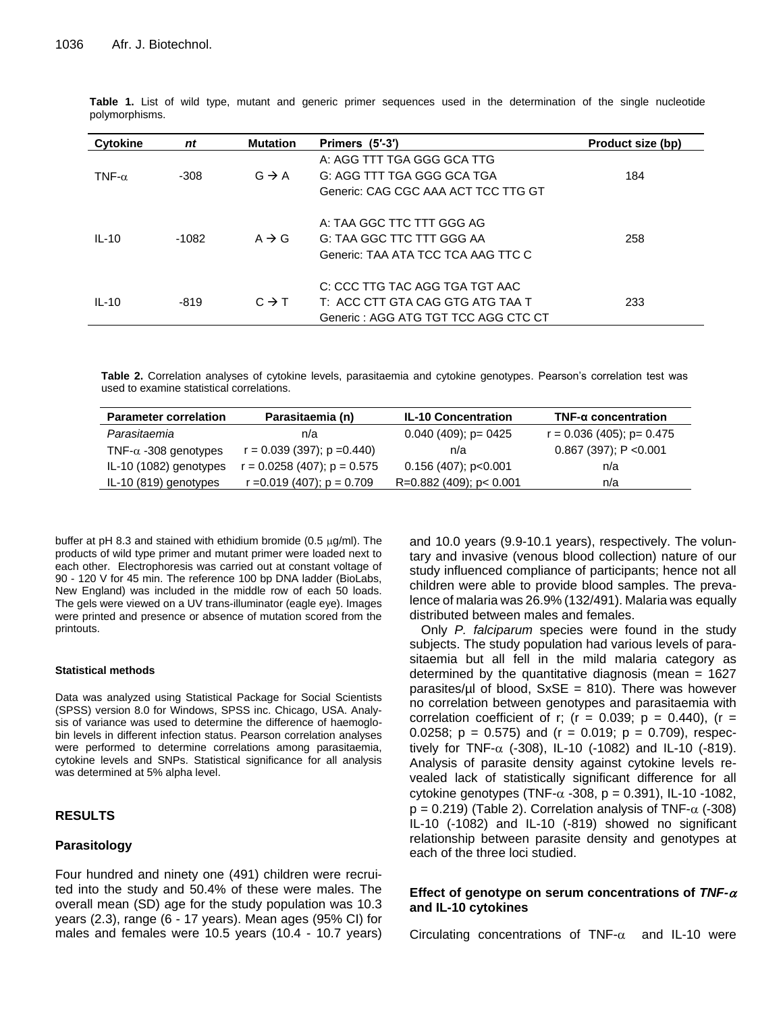| <b>Cytokine</b> | nt      | <b>Mutation</b>   | Primers (5'-3')                     | Product size (bp) |
|-----------------|---------|-------------------|-------------------------------------|-------------------|
|                 |         |                   | A: AGG TTT TGA GGG GCA TTG          |                   |
| TNF- $\alpha$   | $-308$  | $G \rightarrow A$ | G: AGG TTT TGA GGG GCA TGA          | 184               |
|                 |         |                   | Generic: CAG CGC AAA ACT TCC TTG GT |                   |
|                 |         |                   | A: TAA GGC TTC TTT GGG AG           |                   |
| $IL-10$         | $-1082$ | $A \rightarrow G$ | G: TAA GGC TTC TTT GGG AA           | 258               |
|                 |         |                   | Generic: TAA ATA TCC TCA AAG TTC C  |                   |
|                 |         |                   | C: CCC TTG TAC AGG TGA TGT AAC      |                   |
| $IL-10$         | $-819$  | $C \rightarrow T$ | T: ACC CTT GTA CAG GTG ATG TAA T    | 233               |
|                 |         |                   | Generic: AGG ATG TGT TCC AGG CTC CT |                   |

**Table 1.** List of wild type, mutant and generic primer sequences used in the determination of the single nucleotide polymorphisms.

**Table 2.** Correlation analyses of cytokine levels, parasitaemia and cytokine genotypes. Pearson's correlation test was used to examine statistical correlations.

| <b>Parameter correlation</b> | Parasitaemia (n)               | <b>IL-10 Concentration</b> | $TNF-\alpha$ concentration  |
|------------------------------|--------------------------------|----------------------------|-----------------------------|
| Parasitaemia                 | n/a                            | $0.040(409)$ ; p= 0425     | $r = 0.036(405); p = 0.475$ |
| TNF- $\alpha$ -308 genotypes | $r = 0.039(397)$ ; $p = 0.440$ | n/a                        | $0.867$ (397); P < 0.001    |
| IL-10 (1082) genotypes       | $r = 0.0258(407); p = 0.575$   | 0.156 (407); p<0.001       | n/a                         |
| IL-10 (819) genotypes        | $r = 0.019(407); p = 0.709$    | R=0.882 (409); p< 0.001    | n/a                         |

buffer at pH 8.3 and stained with ethidium bromide (0.5  $\mu$ g/ml). The products of wild type primer and mutant primer were loaded next to each other. Electrophoresis was carried out at constant voltage of 90 - 120 V for 45 min. The reference 100 bp DNA ladder (BioLabs, New England) was included in the middle row of each 50 loads. The gels were viewed on a UV trans-illuminator (eagle eye). Images were printed and presence or absence of mutation scored from the printouts.

### **Statistical methods**

Data was analyzed using Statistical Package for Social Scientists (SPSS) version 8.0 for Windows, SPSS inc. Chicago, USA. Analysis of variance was used to determine the difference of haemoglobin levels in different infection status. Pearson correlation analyses were performed to determine correlations among parasitaemia, cytokine levels and SNPs. Statistical significance for all analysis was determined at 5% alpha level.

## **RESULTS**

## **Parasitology**

Four hundred and ninety one (491) children were recruited into the study and 50.4% of these were males. The overall mean (SD) age for the study population was 10.3 years (2.3), range (6 - 17 years). Mean ages (95% CI) for males and females were 10.5 years (10.4 - 10.7 years) and 10.0 years (9.9-10.1 years), respectively. The voluntary and invasive (venous blood collection) nature of our study influenced compliance of participants; hence not all children were able to provide blood samples. The prevalence of malaria was 26.9% (132/491). Malaria was equally distributed between males and females.

Only *P. falciparum* species were found in the study subjects. The study population had various levels of parasitaemia but all fell in the mild malaria category as determined by the quantitative diagnosis (mean  $= 1627$ parasites/ $\mu$ l of blood, SxSE = 810). There was however no correlation between genotypes and parasitaemia with correlation coefficient of r; ( $r = 0.039$ ;  $p = 0.440$ ), ( $r =$ 0.0258;  $p = 0.575$ ) and (r = 0.019;  $p = 0.709$ ), respectively for TNF- $\alpha$  (-308), IL-10 (-1082) and IL-10 (-819). Analysis of parasite density against cytokine levels revealed lack of statistically significant difference for all cytokine genotypes (TNF- $\alpha$  -308, p = 0.391), IL-10 -1082,  $p = 0.219$ ) (Table 2). Correlation analysis of TNF- $\alpha$  (-308) IL-10 (-1082) and IL-10 (-819) showed no significant relationship between parasite density and genotypes at each of the three loci studied.

## Effect of genotype on serum concentrations of  $TNF-\alpha$ **and IL-10 cytokines**

Circulating concentrations of TNF- $\alpha$  and IL-10 were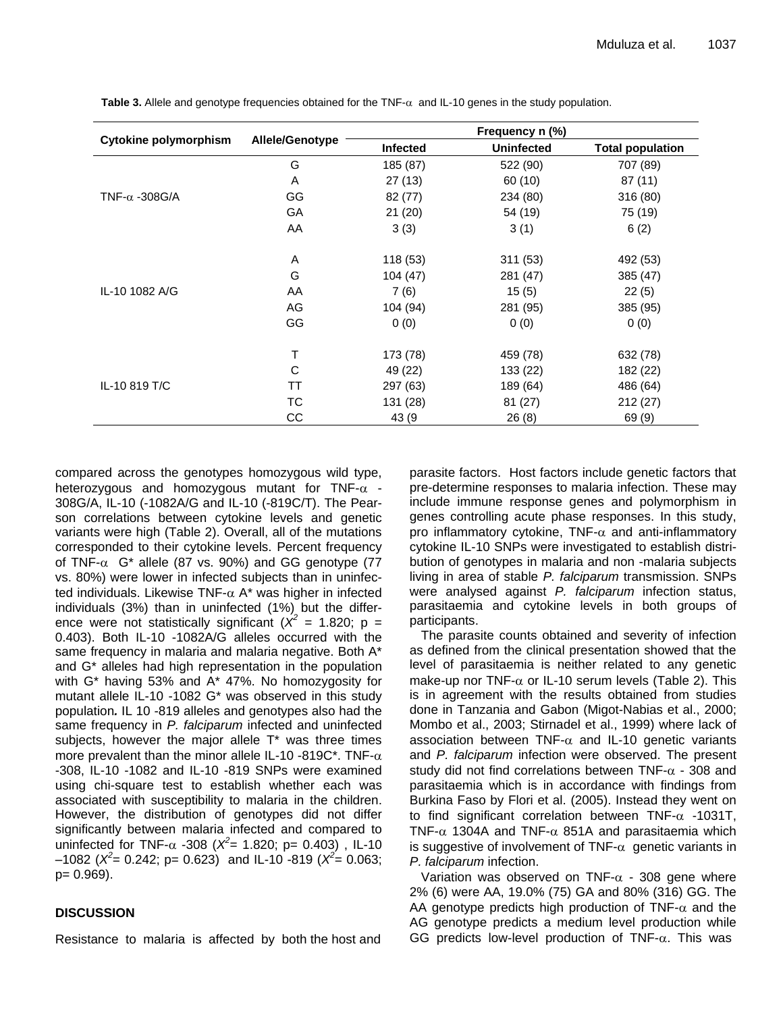|                              |                        | Frequency n (%) |                   |                         |
|------------------------------|------------------------|-----------------|-------------------|-------------------------|
| <b>Cytokine polymorphism</b> | <b>Allele/Genotype</b> | <b>Infected</b> | <b>Uninfected</b> | <b>Total population</b> |
|                              | G                      | 185 (87)        | 522 (90)          | 707 (89)                |
|                              | A                      | 27(13)          | 60 (10)           | 87 (11)                 |
| TNF- $\alpha$ -308G/A        | GG                     | 82(77)          | 234 (80)          | 316 (80)                |
|                              | GA                     | 21(20)          | 54 (19)           | 75 (19)                 |
|                              | AA                     | 3(3)            | 3(1)              | 6(2)                    |
|                              | A                      | 118 (53)        | 311(53)           | 492 (53)                |
|                              | G                      | 104(47)         | 281 (47)          | 385 (47)                |
| IL-10 1082 A/G               | AA                     | 7(6)            | 15(5)             | 22(5)                   |
|                              | AG                     | 104 (94)        | 281 (95)          | 385 (95)                |
|                              | GG                     | 0(0)            | 0(0)              | 0(0)                    |
|                              | т                      | 173 (78)        | 459 (78)          | 632 (78)                |
|                              | C                      | 49 (22)         | 133 (22)          | 182 (22)                |
| IL-10 819 T/C                | TT                     | 297 (63)        | 189 (64)          | 486 (64)                |
|                              | ТC                     | 131 (28)        | 81 (27)           | 212(27)                 |
|                              | CС                     | 43 (9           | 26(8)             | 69 (9)                  |

Table 3. Allele and genotype frequencies obtained for the TNF- $\alpha$  and IL-10 genes in the study population.

compared across the genotypes homozygous wild type, heterozygous and homozygous mutant for TNF- $\alpha$  -308G/A, IL-10 (-1082A/G and IL-10 (-819C/T). The Pearson correlations between cytokine levels and genetic variants were high (Table 2). Overall, all of the mutations corresponded to their cytokine levels. Percent frequency of TNF- $\alpha$  G<sup>\*</sup> allele (87 vs. 90%) and GG genotype (77 vs. 80%) were lower in infected subjects than in uninfected individuals. Likewise TNF- $\alpha$  A\* was higher in infected individuals (3%) than in uninfected (1%) but the difference were not statistically significant ( $\chi^2$  = 1.820; p = 0.403). Both IL-10 -1082A/G alleles occurred with the same frequency in malaria and malaria negative. Both A\* and G\* alleles had high representation in the population with G\* having 53% and A\* 47%. No homozygosity for mutant allele IL-10 -1082 G\* was observed in this study population*.* IL 10 -819 alleles and genotypes also had the same frequency in *P. falciparum* infected and uninfected subjects, however the major allele  $T^*$  was three times more prevalent than the minor allele IL-10 -819C\*. TNF- $\alpha$ -308, IL-10 -1082 and IL-10 -819 SNPs were examined using chi-square test to establish whether each was associated with susceptibility to malaria in the children. However, the distribution of genotypes did not differ significantly between malaria infected and compared to uninfected for TNF- $\alpha$  -308 ( $X^2$ = 1.820; p= 0.403), IL-10  $(1082)(\frac{\chi^2}{8} = 0.242; p = 0.623)$  and IL-10 -819  $(\frac{\chi^2}{8} = 0.063; p = 0.063)$ p= 0.969).

## **DISCUSSION**

Resistance to malaria is affected by both the host and

parasite factors. Host factors include genetic factors that pre-determine responses to malaria infection. These may include immune response genes and polymorphism in genes controlling acute phase responses. In this study, pro inflammatory cytokine, TNF- $\alpha$  and anti-inflammatory cytokine IL-10 SNPs were investigated to establish distribution of genotypes in malaria and non -malaria subjects living in area of stable *P. falciparum* transmission. SNPs were analysed against *P. falciparum* infection status, parasitaemia and cytokine levels in both groups of participants.

The parasite counts obtained and severity of infection as defined from the clinical presentation showed that the level of parasitaemia is neither related to any genetic make-up nor TNF- $\alpha$  or IL-10 serum levels (Table 2). This is in agreement with the results obtained from studies done in Tanzania and Gabon (Migot-Nabias et al., 2000; Mombo et al., 2003; Stirnadel et al., 1999) where lack of association between TNF- $\alpha$  and IL-10 genetic variants and *P. falciparum* infection were observed. The present study did not find correlations between TNF- $\alpha$  - 308 and parasitaemia which is in accordance with findings from Burkina Faso by Flori et al. (2005). Instead they went on to find significant correlation between TNF- $\alpha$  -1031T, TNF- $\alpha$  1304A and TNF- $\alpha$  851A and parasitaemia which is suggestive of involvement of TNF- $\alpha$  genetic variants in *P. falciparum* infection.

Variation was observed on TNF- $\alpha$  - 308 gene where 2% (6) were AA, 19.0% (75) GA and 80% (316) GG. The AA genotype predicts high production of TNF- $\alpha$  and the AG genotype predicts a medium level production while GG predicts low-level production of TNF- $\alpha$ . This was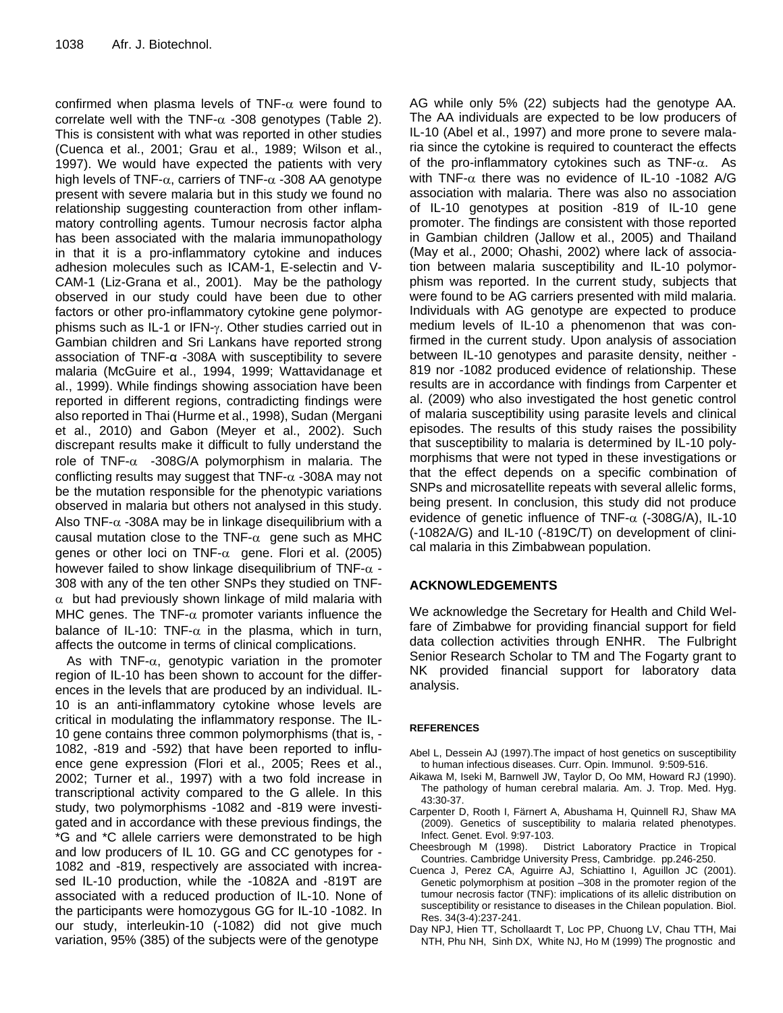confirmed when plasma levels of TNF- $\alpha$  were found to correlate well with the TNF- $\alpha$  -308 genotypes (Table 2). This is consistent with what was reported in other studies (Cuenca et al., 2001; Grau et al., 1989; Wilson et al., 1997). We would have expected the patients with very high levels of TNF- $\alpha$ , carriers of TNF- $\alpha$  -308 AA genotype present with severe malaria but in this study we found no relationship suggesting counteraction from other inflammatory controlling agents. Tumour necrosis factor alpha has been associated with the malaria immunopathology in that it is a pro-inflammatory cytokine and induces adhesion molecules such as ICAM-1, E-selectin and V-CAM-1 (Liz-Grana et al., 2001). May be the pathology observed in our study could have been due to other factors or other pro-inflammatory cytokine gene polymorphisms such as IL-1 or IFN- $v$ . Other studies carried out in Gambian children and Sri Lankans have reported strong association of TNF-α -308A with susceptibility to severe malaria (McGuire et al., 1994, 1999; Wattavidanage et al., 1999). While findings showing association have been reported in different regions, contradicting findings were also reported in Thai (Hurme et al., 1998), Sudan (Mergani et al., 2010) and Gabon (Meyer et al., 2002). Such discrepant results make it difficult to fully understand the role of TNF- $\alpha$  -308G/A polymorphism in malaria. The conflicting results may suggest that TNF- $\alpha$  -308A may not be the mutation responsible for the phenotypic variations observed in malaria but others not analysed in this study. Also TNF- $\alpha$  -308A may be in linkage disequilibrium with a causal mutation close to the TNF- $\alpha$  gene such as MHC genes or other loci on TNF- $\alpha$  gene. Flori et al. (2005) however failed to show linkage disequilibrium of TNF- $\alpha$  -308 with any of the ten other SNPs they studied on TNF-  $\alpha$  but had previously shown linkage of mild malaria with MHC genes. The TNF- $\alpha$  promoter variants influence the balance of IL-10: TNF- $\alpha$  in the plasma, which in turn, affects the outcome in terms of clinical complications.

As with TNF- $\alpha$ , genotypic variation in the promoter region of IL-10 has been shown to account for the differences in the levels that are produced by an individual. IL-10 is an anti-inflammatory cytokine whose levels are critical in modulating the inflammatory response. The IL-10 gene contains three common polymorphisms (that is, - 1082, -819 and -592) that have been reported to influence gene expression (Flori et al., 2005; Rees et al., 2002; Turner et al., 1997) with a two fold increase in transcriptional activity compared to the G allele. In this study, two polymorphisms -1082 and -819 were investigated and in accordance with these previous findings, the \*G and \*C allele carriers were demonstrated to be high and low producers of IL 10. GG and CC genotypes for - 1082 and -819, respectively are associated with increased IL-10 production, while the -1082A and -819T are associated with a reduced production of IL-10. None of the participants were homozygous GG for IL-10 -1082. In our study, interleukin-10 (-1082) did not give much variation, 95% (385) of the subjects were of the genotype

AG while only 5% (22) subjects had the genotype AA. The AA individuals are expected to be low producers of IL-10 (Abel et al., 1997) and more prone to severe malaria since the cytokine is required to counteract the effects of the pro-inflammatory cytokines such as  $TNF-\alpha$ . As with TNF- $\alpha$  there was no evidence of IL-10 -1082 A/G association with malaria. There was also no association of IL-10 genotypes at position -819 of IL-10 gene promoter. The findings are consistent with those reported in Gambian children (Jallow et al., 2005) and Thailand (May et al., 2000; Ohashi, 2002) where lack of association between malaria susceptibility and IL-10 polymorphism was reported. In the current study, subjects that were found to be AG carriers presented with mild malaria. Individuals with AG genotype are expected to produce medium levels of IL-10 a phenomenon that was confirmed in the current study. Upon analysis of association between IL-10 genotypes and parasite density, neither - 819 nor -1082 produced evidence of relationship. These results are in accordance with findings from Carpenter et al. (2009) who also investigated the host genetic control of malaria susceptibility using parasite levels and clinical episodes. The results of this study raises the possibility that susceptibility to malaria is determined by IL-10 polymorphisms that were not typed in these investigations or that the effect depends on a specific combination of SNPs and microsatellite repeats with several allelic forms, being present. In conclusion, this study did not produce evidence of genetic influence of TNF- $\alpha$  (-308G/A), IL-10 (-1082A/G) and IL-10 (-819C/T) on development of clinical malaria in this Zimbabwean population.

## **ACKNOWLEDGEMENTS**

We acknowledge the Secretary for Health and Child Welfare of Zimbabwe for providing financial support for field data collection activities through ENHR. The Fulbright Senior Research Scholar to TM and The Fogarty grant to NK provided financial support for laboratory data analysis.

## **REFERENCES**

- Abel L, Dessein AJ (1997).The impact of host genetics on susceptibility to human infectious diseases. Curr. Opin. Immunol. 9:509-516.
- Aikawa M, Iseki M, Barnwell JW, Taylor D, Oo MM, Howard RJ (1990). The pathology of human cerebral malaria. Am. J. Trop. Med. Hyg. 43:30-37.
- Carpenter D, Rooth I, Färnert A, Abushama H, Quinnell RJ, Shaw MA (2009). Genetics of susceptibility to malaria related phenotypes. Infect. Genet. Evol. 9:97-103.
- Cheesbrough M (1998). District Laboratory Practice in Tropical Countries. Cambridge University Press, Cambridge. pp.246-250.
- Cuenca J, Perez CA, Aguirre AJ, Schiattino I, Aguillon JC (2001). Genetic polymorphism at position –308 in the promoter region of the tumour necrosis factor (TNF): implications of its allelic distribution on susceptibility or resistance to diseases in the Chilean population. Biol. Res. 34(3-4):237-241.
- Day NPJ, Hien TT, Schollaardt T, Loc PP, Chuong LV, Chau TTH, Mai NTH, Phu NH, Sinh DX, White NJ, Ho M (1999) The prognostic and